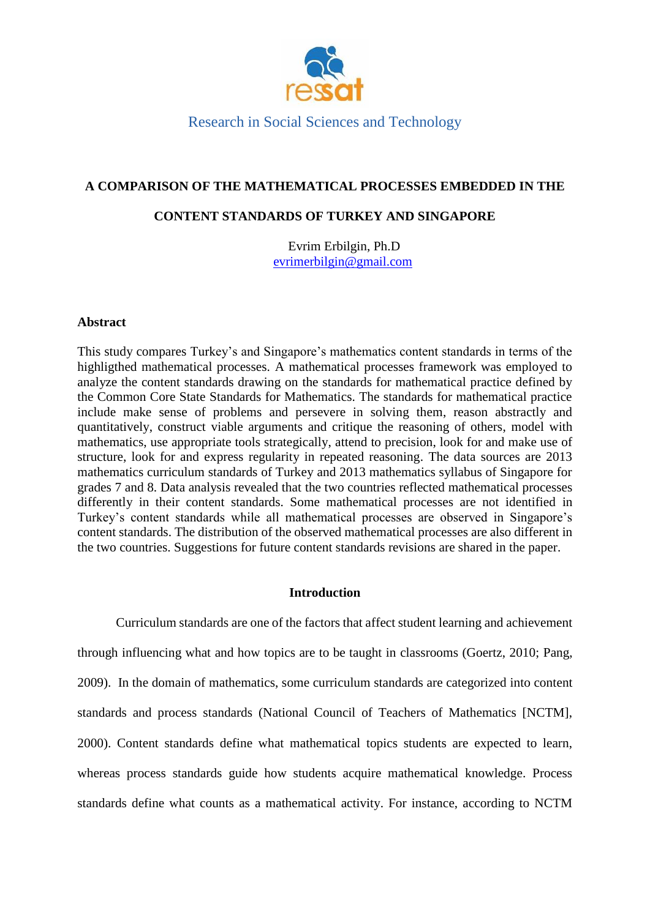

# **A COMPARISON OF THE MATHEMATICAL PROCESSES EMBEDDED IN THE**

## **CONTENT STANDARDS OF TURKEY AND SINGAPORE**

Evrim Erbilgin, Ph.D [evrimerbilgin@gmail.com](mailto:evrimerbilgin@gmail.com)

## **Abstract**

This study compares Turkey's and Singapore's mathematics content standards in terms of the highligthed mathematical processes. A mathematical processes framework was employed to analyze the content standards drawing on the standards for mathematical practice defined by the Common Core State Standards for Mathematics. The standards for mathematical practice include make sense of problems and persevere in solving them, reason abstractly and quantitatively, construct viable arguments and critique the reasoning of others, model with mathematics, use appropriate tools strategically, attend to precision, look for and make use of structure, look for and express regularity in repeated reasoning. The data sources are 2013 mathematics curriculum standards of Turkey and 2013 mathematics syllabus of Singapore for grades 7 and 8. Data analysis revealed that the two countries reflected mathematical processes differently in their content standards. Some mathematical processes are not identified in Turkey's content standards while all mathematical processes are observed in Singapore's content standards. The distribution of the observed mathematical processes are also different in the two countries. Suggestions for future content standards revisions are shared in the paper.

## **Introduction**

Curriculum standards are one of the factors that affect student learning and achievement through influencing what and how topics are to be taught in classrooms (Goertz, 2010; Pang, 2009). In the domain of mathematics, some curriculum standards are categorized into content standards and process standards (National Council of Teachers of Mathematics [NCTM], 2000). Content standards define what mathematical topics students are expected to learn, whereas process standards guide how students acquire mathematical knowledge. Process standards define what counts as a mathematical activity. For instance, according to NCTM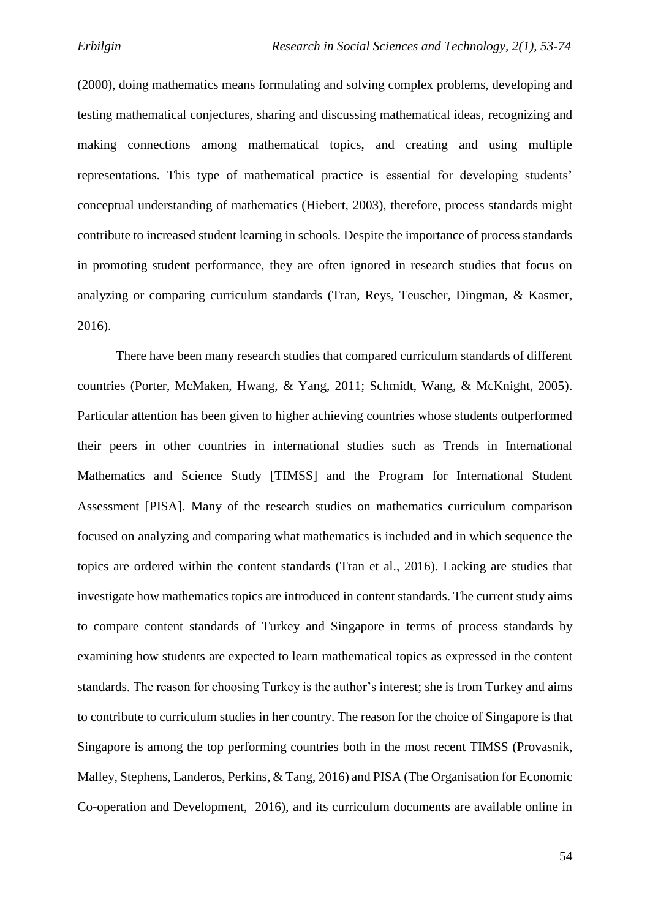(2000), doing mathematics means formulating and solving complex problems, developing and testing mathematical conjectures, sharing and discussing mathematical ideas, recognizing and making connections among mathematical topics, and creating and using multiple representations. This type of mathematical practice is essential for developing students' conceptual understanding of mathematics (Hiebert, 2003), therefore, process standards might contribute to increased student learning in schools. Despite the importance of process standards in promoting student performance, they are often ignored in research studies that focus on analyzing or comparing curriculum standards (Tran, Reys, Teuscher, Dingman, & Kasmer, 2016).

There have been many research studies that compared curriculum standards of different countries (Porter, McMaken, Hwang, & Yang, 2011; Schmidt, Wang, & McKnight, 2005). Particular attention has been given to higher achieving countries whose students outperformed their peers in other countries in international studies such as Trends in International Mathematics and Science Study [TIMSS] and the Program for International Student Assessment [PISA]. Many of the research studies on mathematics curriculum comparison focused on analyzing and comparing what mathematics is included and in which sequence the topics are ordered within the content standards (Tran et al., 2016). Lacking are studies that investigate how mathematics topics are introduced in content standards. The current study aims to compare content standards of Turkey and Singapore in terms of process standards by examining how students are expected to learn mathematical topics as expressed in the content standards. The reason for choosing Turkey is the author's interest; she is from Turkey and aims to contribute to curriculum studies in her country. The reason for the choice of Singapore is that Singapore is among the top performing countries both in the most recent TIMSS (Provasnik, Malley, Stephens, Landeros, Perkins, & Tang, 2016) and PISA (The Organisation for Economic Co-operation and Development, 2016), and its curriculum documents are available online in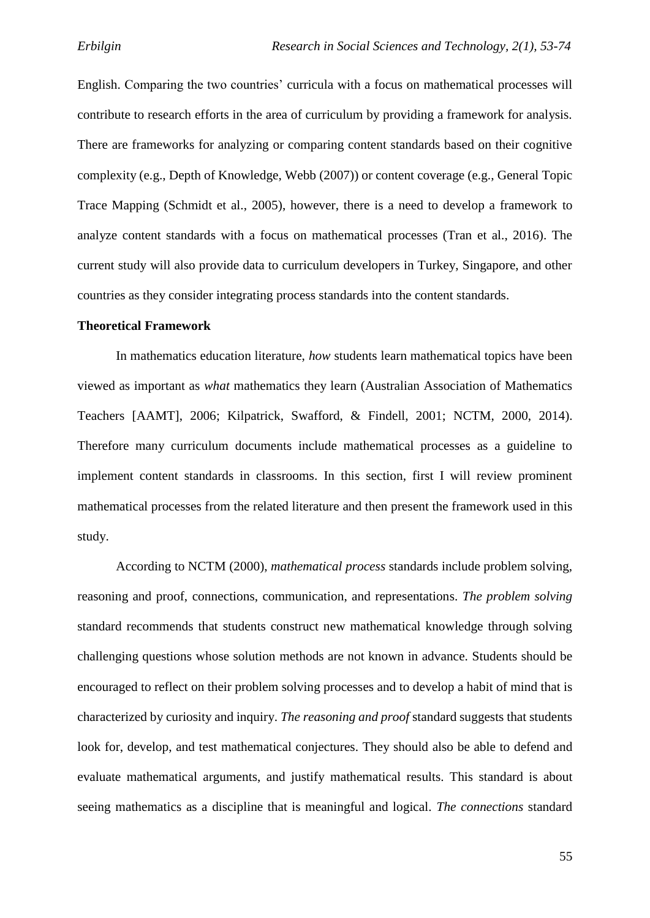English. Comparing the two countries' curricula with a focus on mathematical processes will contribute to research efforts in the area of curriculum by providing a framework for analysis. There are frameworks for analyzing or comparing content standards based on their cognitive complexity (e.g., Depth of Knowledge, Webb (2007)) or content coverage (e.g., General Topic Trace Mapping (Schmidt et al., 2005), however, there is a need to develop a framework to analyze content standards with a focus on mathematical processes (Tran et al., 2016). The current study will also provide data to curriculum developers in Turkey, Singapore, and other countries as they consider integrating process standards into the content standards.

#### **Theoretical Framework**

In mathematics education literature, *how* students learn mathematical topics have been viewed as important as *what* mathematics they learn (Australian Association of Mathematics Teachers [AAMT], 2006; Kilpatrick, Swafford, & Findell, 2001; NCTM, 2000, 2014). Therefore many curriculum documents include mathematical processes as a guideline to implement content standards in classrooms. In this section, first I will review prominent mathematical processes from the related literature and then present the framework used in this study.

According to NCTM (2000), *mathematical process* standards include problem solving, reasoning and proof, connections, communication, and representations. *The problem solving* standard recommends that students construct new mathematical knowledge through solving challenging questions whose solution methods are not known in advance. Students should be encouraged to reflect on their problem solving processes and to develop a habit of mind that is characterized by curiosity and inquiry. *The reasoning and proof* standard suggests that students look for, develop, and test mathematical conjectures. They should also be able to defend and evaluate mathematical arguments, and justify mathematical results. This standard is about seeing mathematics as a discipline that is meaningful and logical. *The connections* standard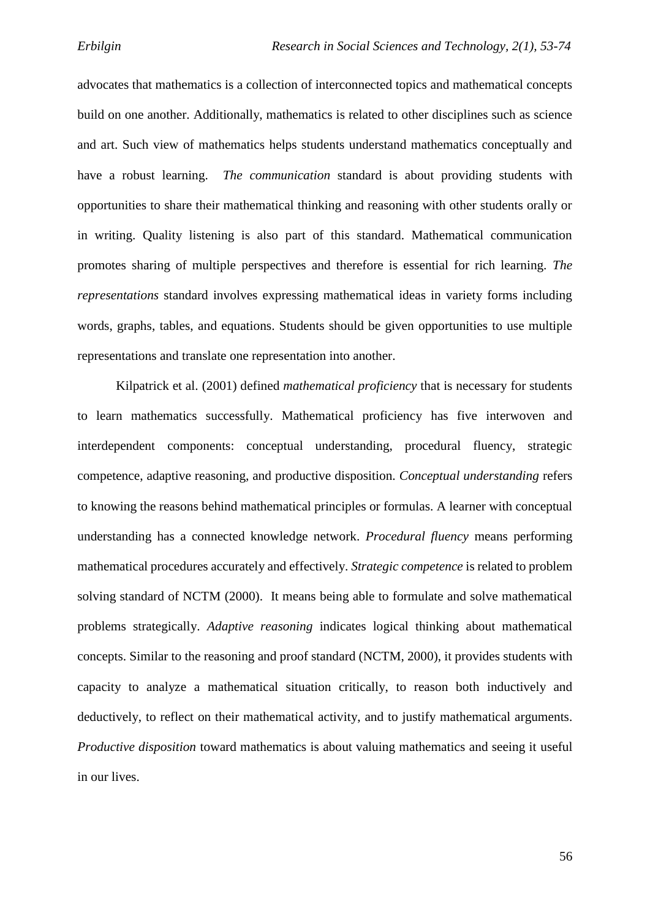advocates that mathematics is a collection of interconnected topics and mathematical concepts build on one another. Additionally, mathematics is related to other disciplines such as science and art. Such view of mathematics helps students understand mathematics conceptually and have a robust learning. *The communication* standard is about providing students with opportunities to share their mathematical thinking and reasoning with other students orally or in writing. Quality listening is also part of this standard. Mathematical communication promotes sharing of multiple perspectives and therefore is essential for rich learning. *The representations* standard involves expressing mathematical ideas in variety forms including words, graphs, tables, and equations. Students should be given opportunities to use multiple representations and translate one representation into another.

Kilpatrick et al. (2001) defined *mathematical proficiency* that is necessary for students to learn mathematics successfully. Mathematical proficiency has five interwoven and interdependent components: conceptual understanding, procedural fluency, strategic competence, adaptive reasoning, and productive disposition. *Conceptual understanding* refers to knowing the reasons behind mathematical principles or formulas. A learner with conceptual understanding has a connected knowledge network. *Procedural fluency* means performing mathematical procedures accurately and effectively. *Strategic competence* is related to problem solving standard of NCTM (2000). It means being able to formulate and solve mathematical problems strategically. *Adaptive reasoning* indicates logical thinking about mathematical concepts. Similar to the reasoning and proof standard (NCTM, 2000), it provides students with capacity to analyze a mathematical situation critically, to reason both inductively and deductively, to reflect on their mathematical activity, and to justify mathematical arguments. *Productive disposition* toward mathematics is about valuing mathematics and seeing it useful in our lives.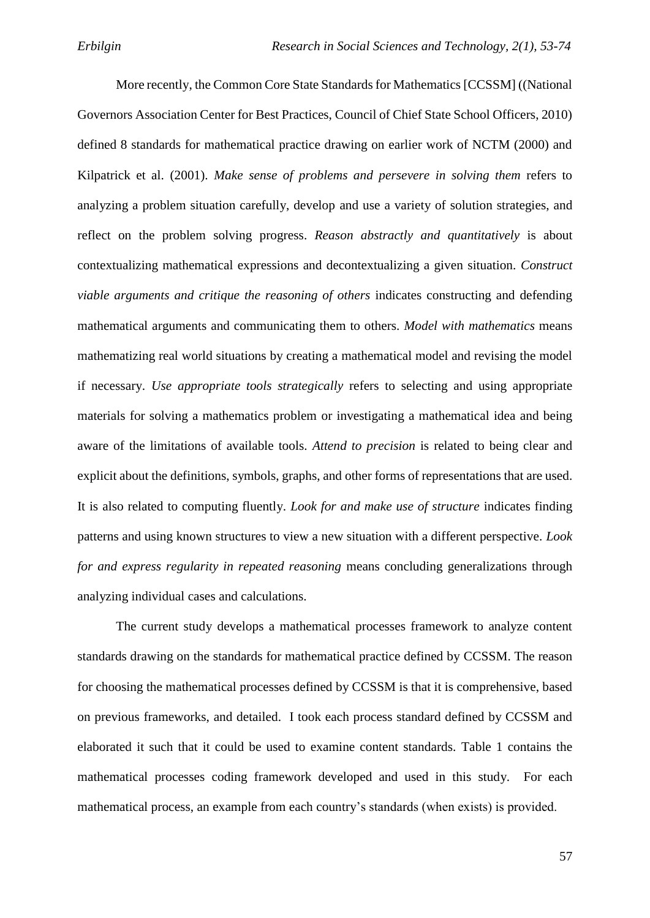More recently, the Common Core State Standards for Mathematics [CCSSM] ((National Governors Association Center for Best Practices, Council of Chief State School Officers, 2010) defined 8 standards for mathematical practice drawing on earlier work of NCTM (2000) and Kilpatrick et al. (2001). *Make sense of problems and persevere in solving them* refers to analyzing a problem situation carefully, develop and use a variety of solution strategies, and reflect on the problem solving progress. *Reason abstractly and quantitatively* is about contextualizing mathematical expressions and decontextualizing a given situation. *Construct viable arguments and critique the reasoning of others* indicates constructing and defending mathematical arguments and communicating them to others. *Model with mathematics* means mathematizing real world situations by creating a mathematical model and revising the model if necessary. *Use appropriate tools strategically* refers to selecting and using appropriate materials for solving a mathematics problem or investigating a mathematical idea and being aware of the limitations of available tools. *Attend to precision* is related to being clear and explicit about the definitions, symbols, graphs, and other forms of representations that are used. It is also related to computing fluently. *Look for and make use of structure* indicates finding patterns and using known structures to view a new situation with a different perspective. *Look for and express regularity in repeated reasoning* means concluding generalizations through analyzing individual cases and calculations.

The current study develops a mathematical processes framework to analyze content standards drawing on the standards for mathematical practice defined by CCSSM. The reason for choosing the mathematical processes defined by CCSSM is that it is comprehensive, based on previous frameworks, and detailed. I took each process standard defined by CCSSM and elaborated it such that it could be used to examine content standards. Table 1 contains the mathematical processes coding framework developed and used in this study. For each mathematical process, an example from each country's standards (when exists) is provided.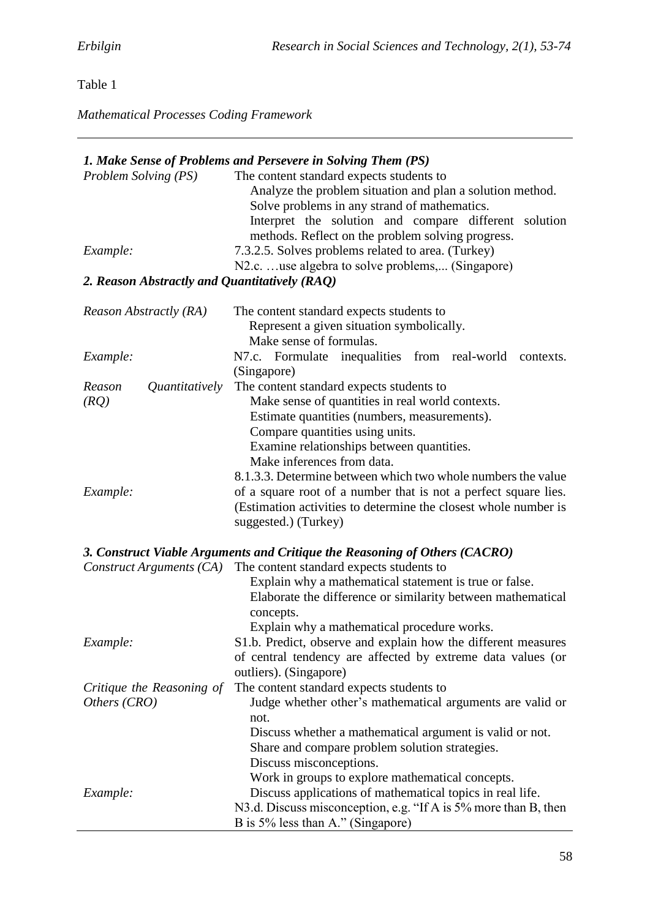# Table 1

*Mathematical Processes Coding Framework*

|                                               | 1. Make Sense of Problems and Persevere in Solving Them (PS)                                                                                                                                                                                                                                                               |  |  |  |  |  |
|-----------------------------------------------|----------------------------------------------------------------------------------------------------------------------------------------------------------------------------------------------------------------------------------------------------------------------------------------------------------------------------|--|--|--|--|--|
| Problem Solving (PS)                          | The content standard expects students to<br>Analyze the problem situation and plan a solution method.<br>Solve problems in any strand of mathematics.<br>Interpret the solution and compare different solution<br>methods. Reflect on the problem solving progress.                                                        |  |  |  |  |  |
| Example:                                      | 7.3.2.5. Solves problems related to area. (Turkey)<br>N2.c. use algebra to solve problems, (Singapore)                                                                                                                                                                                                                     |  |  |  |  |  |
| 2. Reason Abstractly and Quantitatively (RAQ) |                                                                                                                                                                                                                                                                                                                            |  |  |  |  |  |
| Reason Abstractly (RA)                        | The content standard expects students to<br>Represent a given situation symbolically.<br>Make sense of formulas.                                                                                                                                                                                                           |  |  |  |  |  |
| Example:                                      | N7.c. Formulate inequalities from real-world<br>contexts.<br>(Singapore)                                                                                                                                                                                                                                                   |  |  |  |  |  |
| Reason<br>Quantitatively<br>(RQ)              | The content standard expects students to<br>Make sense of quantities in real world contexts.<br>Estimate quantities (numbers, measurements).<br>Compare quantities using units.<br>Examine relationships between quantities.<br>Make inferences from data.<br>8.1.3.3. Determine between which two whole numbers the value |  |  |  |  |  |
| Example:                                      | of a square root of a number that is not a perfect square lies.<br>(Estimation activities to determine the closest whole number is<br>suggested.) (Turkey)                                                                                                                                                                 |  |  |  |  |  |

# *3. Construct Viable Arguments and Critique the Reasoning of Others (CACRO)*

*Construct Arguments (CA)* The content standard expects students to

|                           | Explain why a mathematical statement is true or false.          |
|---------------------------|-----------------------------------------------------------------|
|                           | Elaborate the difference or similarity between mathematical     |
|                           | concepts.                                                       |
|                           | Explain why a mathematical procedure works.                     |
| Example:                  | S1.b. Predict, observe and explain how the different measures   |
|                           | of central tendency are affected by extreme data values (or     |
|                           | outliers). (Singapore)                                          |
| Critique the Reasoning of | The content standard expects students to                        |
| Others (CRO)              | Judge whether other's mathematical arguments are valid or       |
|                           | not.                                                            |
|                           | Discuss whether a mathematical argument is valid or not.        |
|                           | Share and compare problem solution strategies.                  |
|                           | Discuss misconceptions.                                         |
|                           | Work in groups to explore mathematical concepts.                |
| Example:                  | Discuss applications of mathematical topics in real life.       |
|                           | N3.d. Discuss misconception, e.g. "If A is 5% more than B, then |
|                           | B is 5% less than A." (Singapore)                               |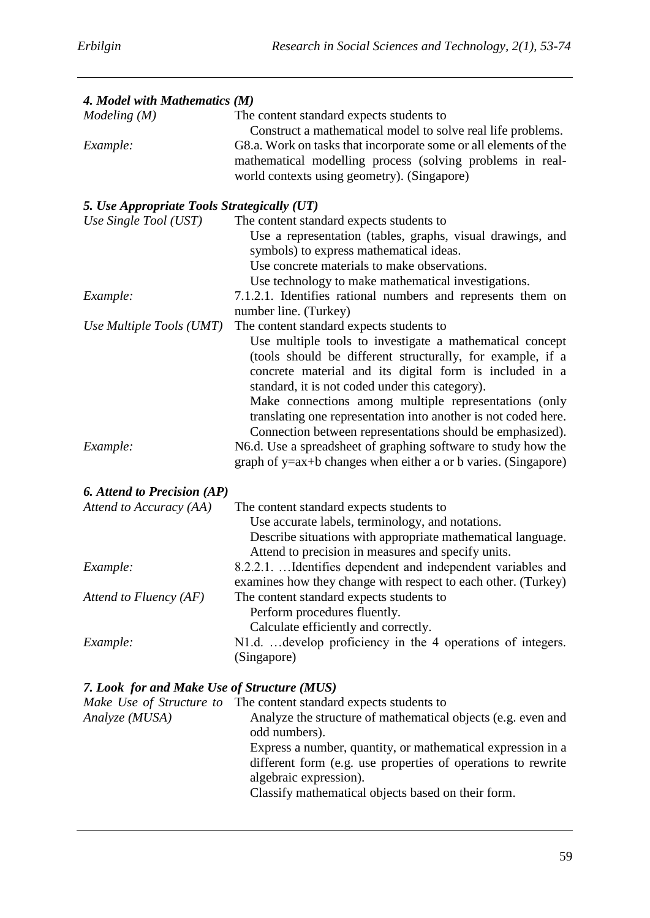| 4. Model with Mathematics (M)               |                                                                                                                                                                                                                                                                                                                                                                                                                                                                                               |  |  |  |  |  |
|---------------------------------------------|-----------------------------------------------------------------------------------------------------------------------------------------------------------------------------------------------------------------------------------------------------------------------------------------------------------------------------------------------------------------------------------------------------------------------------------------------------------------------------------------------|--|--|--|--|--|
| Modeling(M)                                 | The content standard expects students to<br>Construct a mathematical model to solve real life problems.                                                                                                                                                                                                                                                                                                                                                                                       |  |  |  |  |  |
| Example:                                    | G8.a. Work on tasks that incorporate some or all elements of the<br>mathematical modelling process (solving problems in real-<br>world contexts using geometry). (Singapore)                                                                                                                                                                                                                                                                                                                  |  |  |  |  |  |
| 5. Use Appropriate Tools Strategically (UT) |                                                                                                                                                                                                                                                                                                                                                                                                                                                                                               |  |  |  |  |  |
| Use Single Tool (UST)                       | The content standard expects students to<br>Use a representation (tables, graphs, visual drawings, and<br>symbols) to express mathematical ideas.<br>Use concrete materials to make observations.<br>Use technology to make mathematical investigations.                                                                                                                                                                                                                                      |  |  |  |  |  |
| Example:                                    | 7.1.2.1. Identifies rational numbers and represents them on<br>number line. (Turkey)                                                                                                                                                                                                                                                                                                                                                                                                          |  |  |  |  |  |
| Use Multiple Tools (UMT)                    | The content standard expects students to                                                                                                                                                                                                                                                                                                                                                                                                                                                      |  |  |  |  |  |
| Example:                                    | Use multiple tools to investigate a mathematical concept<br>(tools should be different structurally, for example, if a<br>concrete material and its digital form is included in a<br>standard, it is not coded under this category).<br>Make connections among multiple representations (only<br>translating one representation into another is not coded here.<br>Connection between representations should be emphasized).<br>N6.d. Use a spreadsheet of graphing software to study how the |  |  |  |  |  |
|                                             | graph of $y = ax + b$ changes when either a or b varies. (Singapore)                                                                                                                                                                                                                                                                                                                                                                                                                          |  |  |  |  |  |
| <b>6.</b> Attend to Precision (AP)          |                                                                                                                                                                                                                                                                                                                                                                                                                                                                                               |  |  |  |  |  |
| Attend to Accuracy (AA)                     | The content standard expects students to<br>Use accurate labels, terminology, and notations.<br>Describe situations with appropriate mathematical language.<br>Attend to precision in measures and specify units.                                                                                                                                                                                                                                                                             |  |  |  |  |  |
| Example:                                    | 8.2.2.1.  Identifies dependent and independent variables and<br>examines how they change with respect to each other. (Turkey)                                                                                                                                                                                                                                                                                                                                                                 |  |  |  |  |  |
| Attend to Fluency $(AF)$                    | The content standard expects students to<br>Perform procedures fluently.<br>Calculate efficiently and correctly.                                                                                                                                                                                                                                                                                                                                                                              |  |  |  |  |  |
| Example:                                    | N1.d.  develop proficiency in the 4 operations of integers.<br>(Singapore)                                                                                                                                                                                                                                                                                                                                                                                                                    |  |  |  |  |  |
| 7. Look for and Make Use of Structure (MUS) |                                                                                                                                                                                                                                                                                                                                                                                                                                                                                               |  |  |  |  |  |

| Make Use of Structure to | The content standard expects students to                     |
|--------------------------|--------------------------------------------------------------|
| Analyze (MUSA)           | Analyze the structure of mathematical objects (e.g. even and |
|                          | odd numbers).                                                |
|                          | Express a number, quantity, or mathematical expression in a  |
|                          | different form (e.g. use properties of operations to rewrite |
|                          | algebraic expression).                                       |
|                          | Classify mathematical objects based on their form.           |
|                          |                                                              |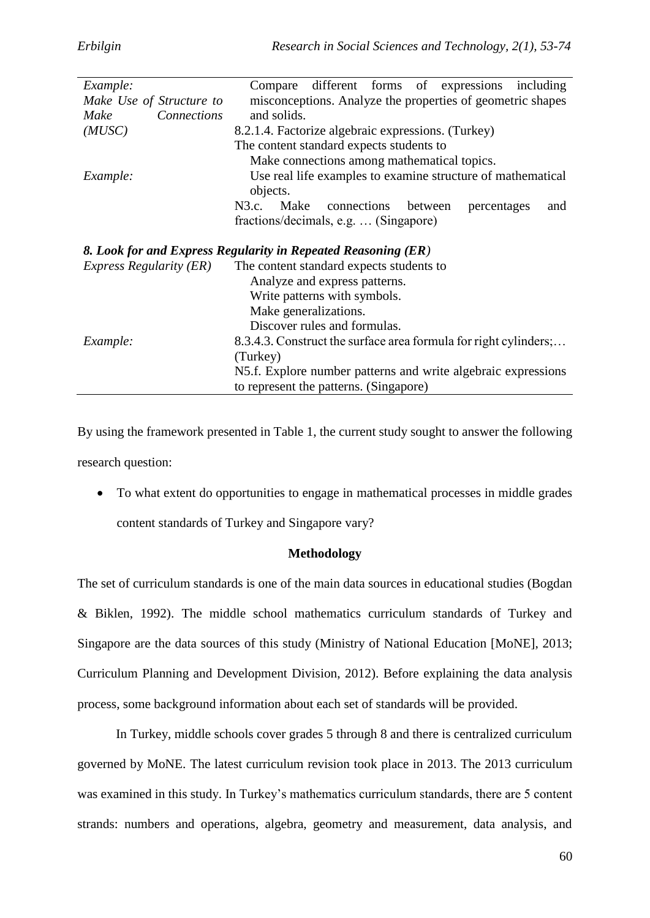| Example:                                                                     | different forms of expressions including<br>Compare                       |  |  |  |  |  |  |
|------------------------------------------------------------------------------|---------------------------------------------------------------------------|--|--|--|--|--|--|
| Make Use of Structure to                                                     | misconceptions. Analyze the properties of geometric shapes                |  |  |  |  |  |  |
| Connections<br>Make                                                          | and solids.                                                               |  |  |  |  |  |  |
| (MUSC)                                                                       | 8.2.1.4. Factorize algebraic expressions. (Turkey)                        |  |  |  |  |  |  |
|                                                                              | The content standard expects students to                                  |  |  |  |  |  |  |
|                                                                              | Make connections among mathematical topics.                               |  |  |  |  |  |  |
| Example:                                                                     | Use real life examples to examine structure of mathematical<br>objects.   |  |  |  |  |  |  |
|                                                                              | N3.c. Make connections<br>between<br>percentages<br>and                   |  |  |  |  |  |  |
|                                                                              | fractions/decimals, e.g.  (Singapore)                                     |  |  |  |  |  |  |
|                                                                              | 8. Look for and Express Regularity in Repeated Reasoning (ER)             |  |  |  |  |  |  |
| <i>Express Regularity (ER)</i>                                               | The content standard expects students to<br>Analyze and express patterns. |  |  |  |  |  |  |
|                                                                              | Write patterns with symbols.                                              |  |  |  |  |  |  |
| Make generalizations.                                                        |                                                                           |  |  |  |  |  |  |
|                                                                              | Discover rules and formulas.                                              |  |  |  |  |  |  |
|                                                                              |                                                                           |  |  |  |  |  |  |
| 8.3.4.3. Construct the surface area formula for right cylinders;<br>Example: |                                                                           |  |  |  |  |  |  |
|                                                                              | (Turkey)                                                                  |  |  |  |  |  |  |
|                                                                              | N5.f. Explore number patterns and write algebraic expressions             |  |  |  |  |  |  |
| to represent the patterns. (Singapore)                                       |                                                                           |  |  |  |  |  |  |

By using the framework presented in Table 1, the current study sought to answer the following research question:

 To what extent do opportunities to engage in mathematical processes in middle grades content standards of Turkey and Singapore vary?

## **Methodology**

The set of curriculum standards is one of the main data sources in educational studies (Bogdan & Biklen, 1992). The middle school mathematics curriculum standards of Turkey and Singapore are the data sources of this study (Ministry of National Education [MoNE], 2013; Curriculum Planning and Development Division, 2012). Before explaining the data analysis process, some background information about each set of standards will be provided.

In Turkey, middle schools cover grades 5 through 8 and there is centralized curriculum governed by MoNE. The latest curriculum revision took place in 2013. The 2013 curriculum was examined in this study. In Turkey's mathematics curriculum standards, there are 5 content strands: numbers and operations, algebra, geometry and measurement, data analysis, and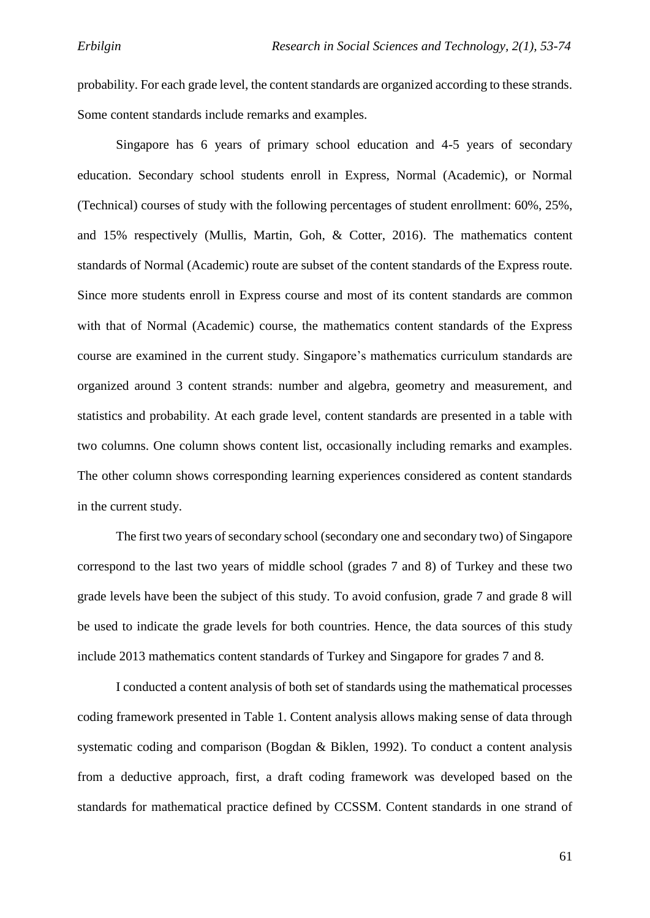probability. For each grade level, the content standards are organized according to these strands. Some content standards include remarks and examples.

Singapore has 6 years of primary school education and 4-5 years of secondary education. Secondary school students enroll in Express, Normal (Academic), or Normal (Technical) courses of study with the following percentages of student enrollment: 60%, 25%, and 15% respectively (Mullis, Martin, Goh, & Cotter, 2016). The mathematics content standards of Normal (Academic) route are subset of the content standards of the Express route. Since more students enroll in Express course and most of its content standards are common with that of Normal (Academic) course, the mathematics content standards of the Express course are examined in the current study. Singapore's mathematics curriculum standards are organized around 3 content strands: number and algebra, geometry and measurement, and statistics and probability. At each grade level, content standards are presented in a table with two columns. One column shows content list, occasionally including remarks and examples. The other column shows corresponding learning experiences considered as content standards in the current study.

The first two years of secondary school (secondary one and secondary two) of Singapore correspond to the last two years of middle school (grades 7 and 8) of Turkey and these two grade levels have been the subject of this study. To avoid confusion, grade 7 and grade 8 will be used to indicate the grade levels for both countries. Hence, the data sources of this study include 2013 mathematics content standards of Turkey and Singapore for grades 7 and 8.

I conducted a content analysis of both set of standards using the mathematical processes coding framework presented in Table 1. Content analysis allows making sense of data through systematic coding and comparison (Bogdan & Biklen, 1992). To conduct a content analysis from a deductive approach, first, a draft coding framework was developed based on the standards for mathematical practice defined by CCSSM. Content standards in one strand of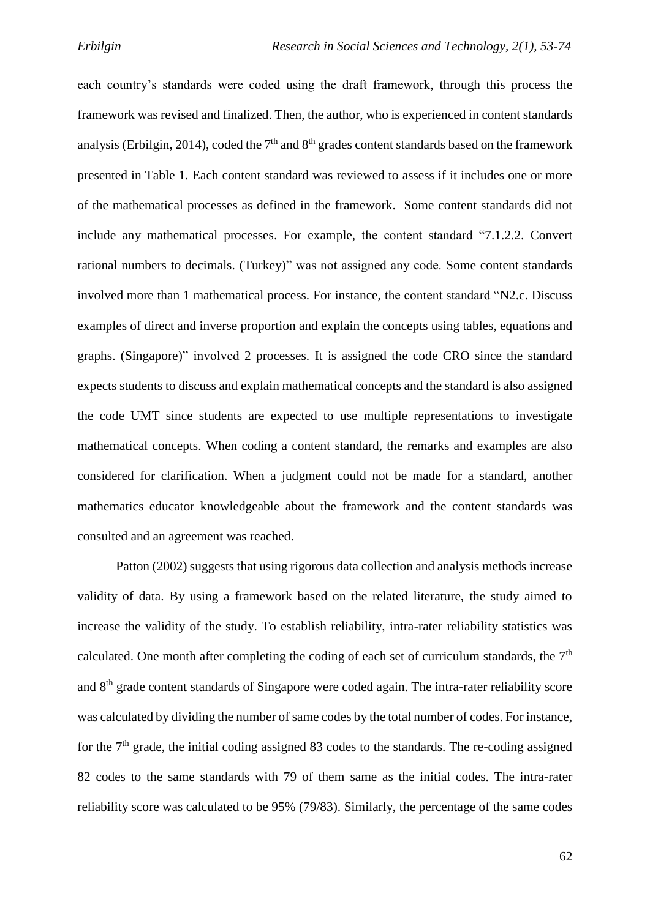each country's standards were coded using the draft framework, through this process the framework was revised and finalized. Then, the author, who is experienced in content standards analysis (Erbilgin, 2014), coded the  $7<sup>th</sup>$  and  $8<sup>th</sup>$  grades content standards based on the framework presented in Table 1. Each content standard was reviewed to assess if it includes one or more of the mathematical processes as defined in the framework. Some content standards did not include any mathematical processes. For example, the content standard "7.1.2.2. Convert rational numbers to decimals. (Turkey)" was not assigned any code. Some content standards involved more than 1 mathematical process. For instance, the content standard "N2.c. Discuss examples of direct and inverse proportion and explain the concepts using tables, equations and graphs. (Singapore)" involved 2 processes. It is assigned the code CRO since the standard expects students to discuss and explain mathematical concepts and the standard is also assigned the code UMT since students are expected to use multiple representations to investigate mathematical concepts. When coding a content standard, the remarks and examples are also considered for clarification. When a judgment could not be made for a standard, another mathematics educator knowledgeable about the framework and the content standards was consulted and an agreement was reached.

Patton (2002) suggests that using rigorous data collection and analysis methods increase validity of data. By using a framework based on the related literature, the study aimed to increase the validity of the study. To establish reliability, intra-rater reliability statistics was calculated. One month after completing the coding of each set of curriculum standards, the  $7<sup>th</sup>$ and 8th grade content standards of Singapore were coded again. The intra-rater reliability score was calculated by dividing the number of same codes by the total number of codes. For instance, for the  $7<sup>th</sup>$  grade, the initial coding assigned 83 codes to the standards. The re-coding assigned 82 codes to the same standards with 79 of them same as the initial codes. The intra-rater reliability score was calculated to be 95% (79/83). Similarly, the percentage of the same codes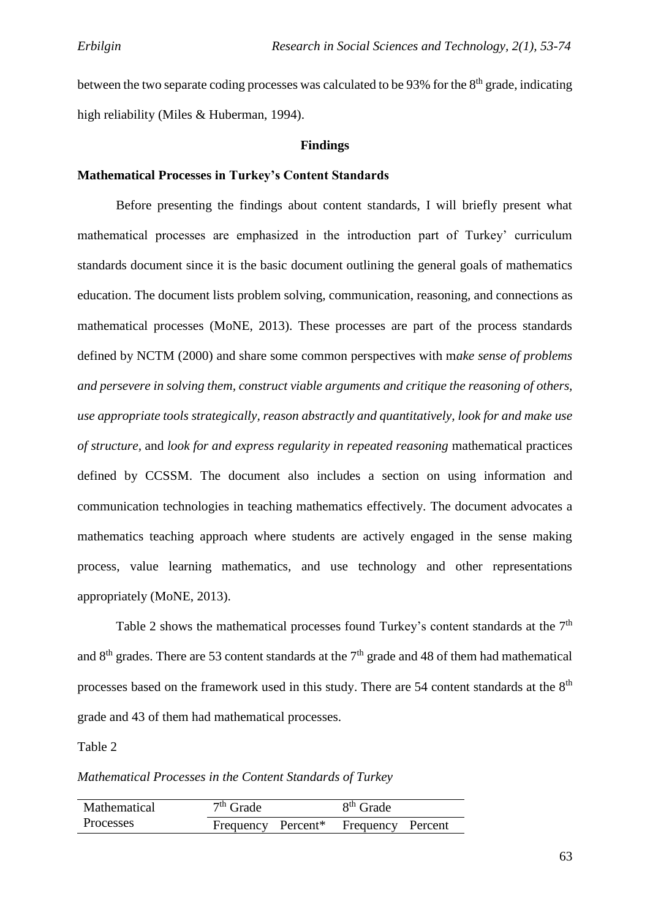between the two separate coding processes was calculated to be 93% for the 8<sup>th</sup> grade, indicating high reliability (Miles & Huberman, 1994).

#### **Findings**

# **Mathematical Processes in Turkey's Content Standards**

Before presenting the findings about content standards, I will briefly present what mathematical processes are emphasized in the introduction part of Turkey' curriculum standards document since it is the basic document outlining the general goals of mathematics education. The document lists problem solving, communication, reasoning, and connections as mathematical processes (MoNE, 2013). These processes are part of the process standards defined by NCTM (2000) and share some common perspectives with m*ake sense of problems and persevere in solving them, construct viable arguments and critique the reasoning of others, use appropriate tools strategically, reason abstractly and quantitatively, look for and make use of structure,* and *look for and express regularity in repeated reasoning* mathematical practices defined by CCSSM. The document also includes a section on using information and communication technologies in teaching mathematics effectively. The document advocates a mathematics teaching approach where students are actively engaged in the sense making process, value learning mathematics, and use technology and other representations appropriately (MoNE, 2013).

Table 2 shows the mathematical processes found Turkey's content standards at the 7<sup>th</sup> and  $8<sup>th</sup>$  grades. There are 53 content standards at the  $7<sup>th</sup>$  grade and 48 of them had mathematical processes based on the framework used in this study. There are 54 content standards at the 8<sup>th</sup> grade and 43 of them had mathematical processes.

Table 2

*Mathematical Processes in the Content Standards of Turkey*

| Mathematical | $7th$ Grade                    |  | 8 <sup>th</sup> Grade |  |
|--------------|--------------------------------|--|-----------------------|--|
| Processes    | Frequency Percent <sup>*</sup> |  | Frequency Percent     |  |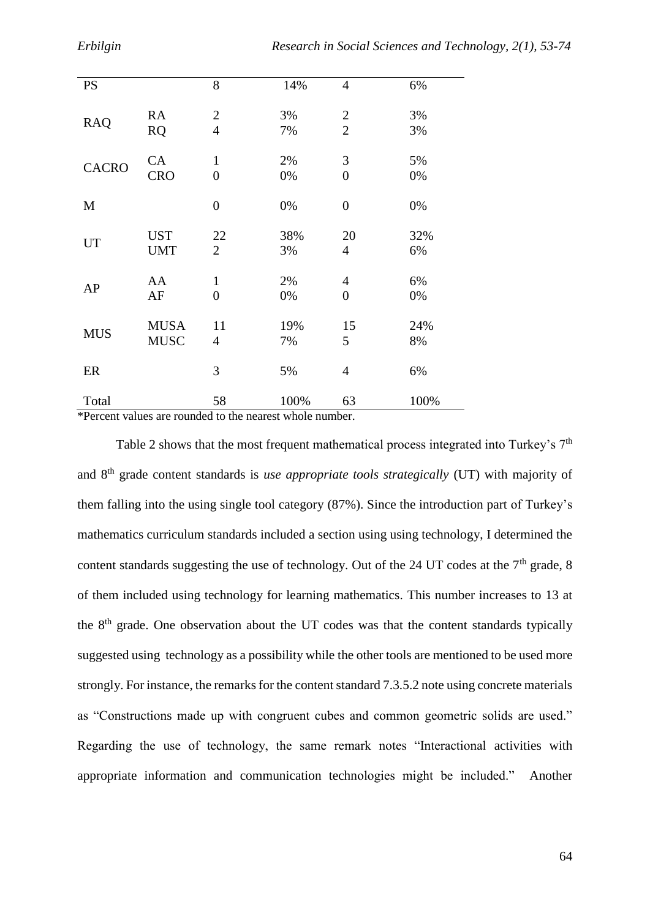| <b>PS</b>    |             | 8                | 14%  | $\overline{4}$ | 6%   |
|--------------|-------------|------------------|------|----------------|------|
| <b>RAQ</b>   | <b>RA</b>   | $\mathbf{2}$     | 3%   | $\overline{2}$ | 3%   |
|              | <b>RQ</b>   | $\overline{4}$   | 7%   | $\overline{2}$ | 3%   |
| <b>CACRO</b> | CA          | $\mathbf{1}$     | 2%   | 3              | 5%   |
|              | <b>CRO</b>  | $\overline{0}$   | 0%   | $\overline{0}$ | 0%   |
| M            |             | $\boldsymbol{0}$ | 0%   | $\overline{0}$ | 0%   |
| UT           | <b>UST</b>  | 22               | 38%  | 20             | 32%  |
|              | <b>UMT</b>  | $\overline{2}$   | 3%   | $\overline{4}$ | 6%   |
| AP           | AA          | $\mathbf{1}$     | 2%   | $\overline{4}$ | 6%   |
|              | AF          | $\boldsymbol{0}$ | 0%   | $\overline{0}$ | 0%   |
| <b>MUS</b>   | <b>MUSA</b> | 11               | 19%  | 15             | 24%  |
|              | <b>MUSC</b> | 4                | 7%   | 5              | 8%   |
| ER           |             | 3                | 5%   | $\overline{4}$ | 6%   |
| Total        |             | 58               | 100% | 63             | 100% |

\*Percent values are rounded to the nearest whole number.

Table 2 shows that the most frequent mathematical process integrated into Turkey's  $7<sup>th</sup>$ and 8th grade content standards is *use appropriate tools strategically* (UT) with majority of them falling into the using single tool category (87%). Since the introduction part of Turkey's mathematics curriculum standards included a section using using technology, I determined the content standards suggesting the use of technology. Out of the 24 UT codes at the  $7<sup>th</sup>$  grade, 8 of them included using technology for learning mathematics. This number increases to 13 at the  $8<sup>th</sup>$  grade. One observation about the UT codes was that the content standards typically suggested using technology as a possibility while the other tools are mentioned to be used more strongly. For instance, the remarks for the content standard 7.3.5.2 note using concrete materials as "Constructions made up with congruent cubes and common geometric solids are used." Regarding the use of technology, the same remark notes "Interactional activities with appropriate information and communication technologies might be included." Another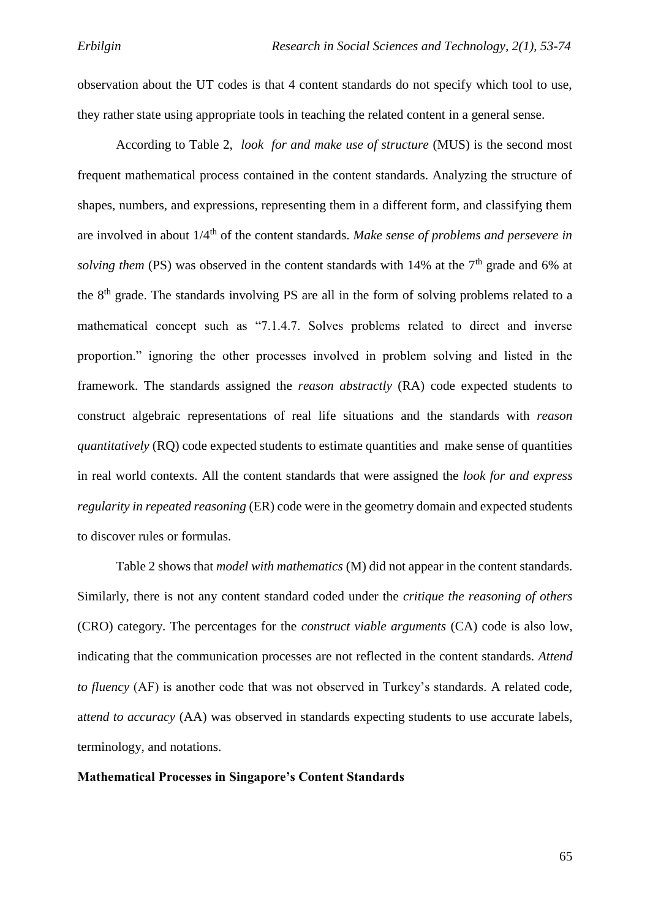observation about the UT codes is that 4 content standards do not specify which tool to use, they rather state using appropriate tools in teaching the related content in a general sense.

According to Table 2, *look for and make use of structure* (MUS) is the second most frequent mathematical process contained in the content standards. Analyzing the structure of shapes, numbers, and expressions, representing them in a different form, and classifying them are involved in about 1/4th of the content standards. *Make sense of problems and persevere in solving them* (PS) was observed in the content standards with 14% at the 7<sup>th</sup> grade and 6% at the 8<sup>th</sup> grade. The standards involving PS are all in the form of solving problems related to a mathematical concept such as "7.1.4.7. Solves problems related to direct and inverse proportion." ignoring the other processes involved in problem solving and listed in the framework. The standards assigned the *reason abstractly* (RA) code expected students to construct algebraic representations of real life situations and the standards with *reason quantitatively* (RQ) code expected students to estimate quantities and make sense of quantities in real world contexts. All the content standards that were assigned the *look for and express regularity in repeated reasoning* (ER) code were in the geometry domain and expected students to discover rules or formulas.

Table 2 shows that *model with mathematics* (M) did not appear in the content standards. Similarly, there is not any content standard coded under the *critique the reasoning of others* (CRO) category. The percentages for the *construct viable arguments* (CA) code is also low, indicating that the communication processes are not reflected in the content standards. *Attend to fluency* (AF) is another code that was not observed in Turkey's standards. A related code, a*ttend to accuracy* (AA) was observed in standards expecting students to use accurate labels, terminology, and notations.

#### **Mathematical Processes in Singapore's Content Standards**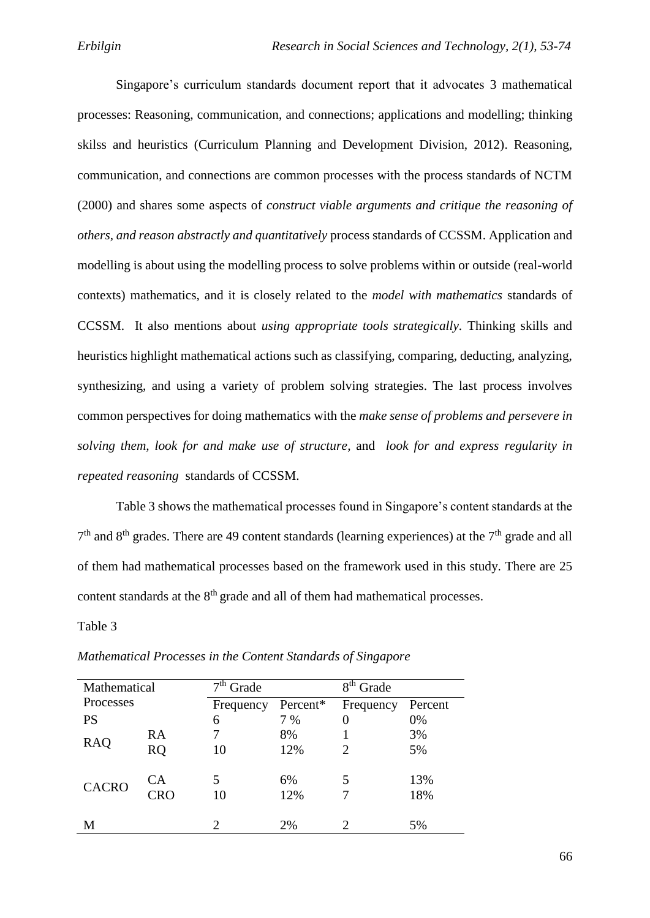Singapore's curriculum standards document report that it advocates 3 mathematical processes: Reasoning, communication, and connections; applications and modelling; thinking skilss and heuristics (Curriculum Planning and Development Division, 2012). Reasoning, communication, and connections are common processes with the process standards of NCTM (2000) and shares some aspects of *construct viable arguments and critique the reasoning of others, and reason abstractly and quantitatively* process standards of CCSSM. Application and modelling is about using the modelling process to solve problems within or outside (real-world contexts) mathematics, and it is closely related to the *model with mathematics* standards of CCSSM. It also mentions about *using appropriate tools strategically.* Thinking skills and heuristics highlight mathematical actions such as classifying, comparing, deducting, analyzing, synthesizing, and using a variety of problem solving strategies. The last process involves common perspectives for doing mathematics with the *make sense of problems and persevere in solving them, look for and make use of structure,* and *look for and express regularity in repeated reasoning* standards of CCSSM.

Table 3 shows the mathematical processes found in Singapore's content standards at the  $7<sup>th</sup>$  and  $8<sup>th</sup>$  grades. There are 49 content standards (learning experiences) at the  $7<sup>th</sup>$  grade and all of them had mathematical processes based on the framework used in this study. There are 25 content standards at the  $8<sup>th</sup>$  grade and all of them had mathematical processes.

Table 3

| Mathematical |            | $7th$ Grade |          | 8 <sup>th</sup> Grade |         |
|--------------|------------|-------------|----------|-----------------------|---------|
| Processes    |            | Frequency   | Percent* | Frequency             | Percent |
| <b>PS</b>    |            | 6           | 7 %      | 0                     | 0%      |
|              | RA         | 7           | 8%       |                       | 3%      |
| <b>RAQ</b>   | <b>RQ</b>  | 10          | 12%      | 2                     | 5%      |
|              |            |             |          |                       |         |
| <b>CACRO</b> | СA         | 5           | 6%       | 5                     | 13%     |
|              | <b>CRO</b> | 10          | 12%      |                       | 18%     |
|              |            |             |          |                       |         |
| M            |            | ာ           | 2%       |                       | 5%      |

*Mathematical Processes in the Content Standards of Singapore*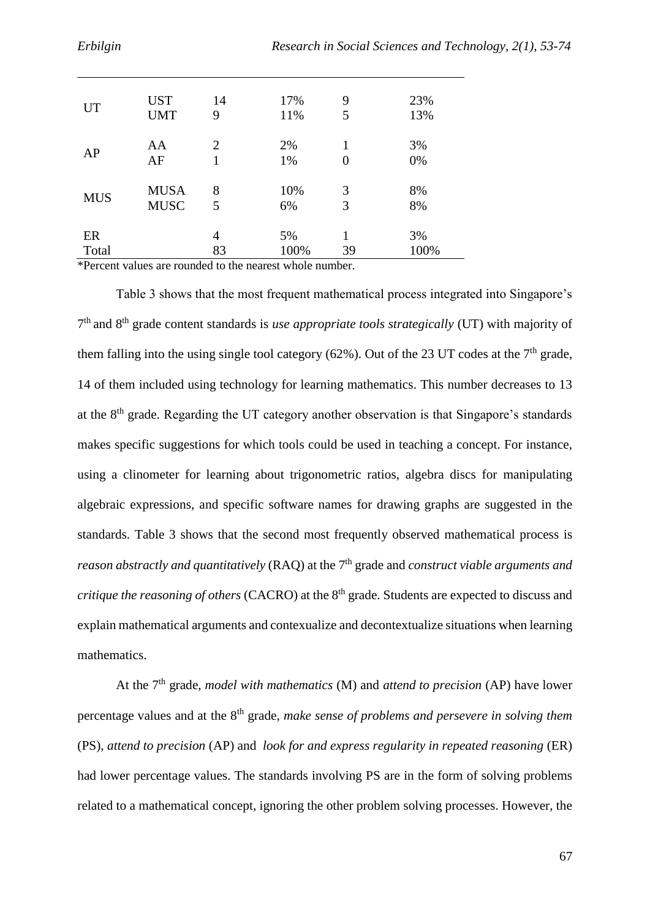| <b>UT</b>  | <b>UST</b>  | 14             | 17%  | 9  | 23%  |
|------------|-------------|----------------|------|----|------|
|            | <b>UMT</b>  | 9              | 11%  | 5  | 13%  |
| AP         | AA          | $\overline{2}$ | 2%   | 1  | 3%   |
|            | AF          | 1              | 1%   | 0  | 0%   |
| <b>MUS</b> | <b>MUSA</b> | 8              | 10%  | 3  | 8%   |
|            | <b>MUSC</b> | 5              | 6%   | 3  | 8%   |
| ER         |             | $\overline{4}$ | 5%   | 1  | 3%   |
| Total      |             | 83             | 100% | 39 | 100% |

\*Percent values are rounded to the nearest whole number.

Table 3 shows that the most frequent mathematical process integrated into Singapore's 7 th and 8th grade content standards is *use appropriate tools strategically* (UT) with majority of them falling into the using single tool category  $(62\%)$ . Out of the 23 UT codes at the 7<sup>th</sup> grade, 14 of them included using technology for learning mathematics. This number decreases to 13 at the  $8<sup>th</sup>$  grade. Regarding the UT category another observation is that Singapore's standards makes specific suggestions for which tools could be used in teaching a concept. For instance, using a clinometer for learning about trigonometric ratios, algebra discs for manipulating algebraic expressions, and specific software names for drawing graphs are suggested in the standards. Table 3 shows that the second most frequently observed mathematical process is *reason abstractly and quantitatively* (RAQ) at the 7<sup>th</sup> grade and *construct viable arguments and critique the reasoning of others* (CACRO) at the 8<sup>th</sup> grade. Students are expected to discuss and explain mathematical arguments and contexualize and decontextualize situations when learning mathematics.

At the 7th grade, *model with mathematics* (M) and *attend to precision* (AP) have lower percentage values and at the 8th grade, *make sense of problems and persevere in solving them* (PS), *attend to precision* (AP) and *look for and express regularity in repeated reasoning* (ER) had lower percentage values. The standards involving PS are in the form of solving problems related to a mathematical concept, ignoring the other problem solving processes. However, the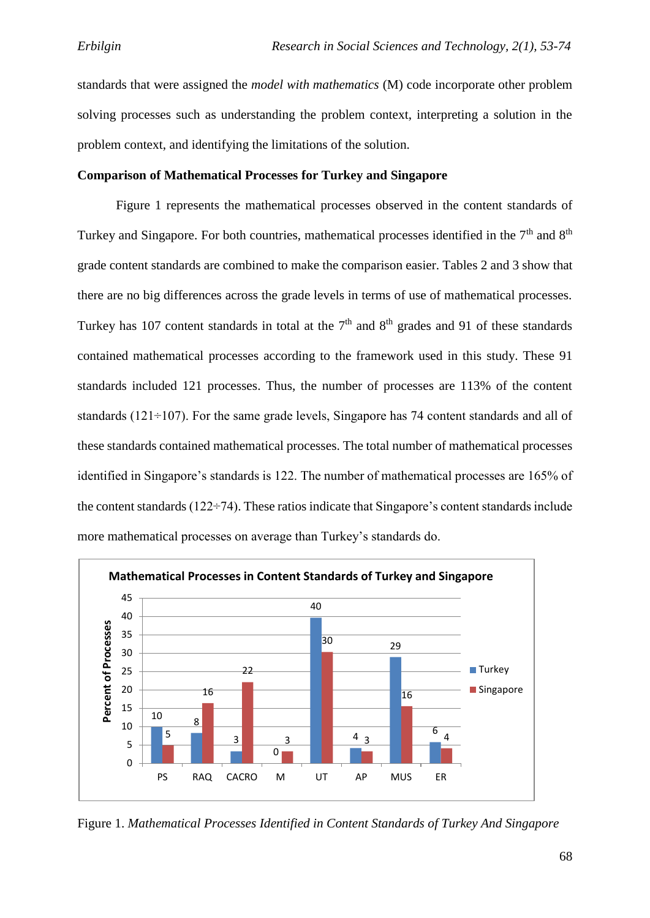standards that were assigned the *model with mathematics* (M) code incorporate other problem solving processes such as understanding the problem context, interpreting a solution in the problem context, and identifying the limitations of the solution.

# **Comparison of Mathematical Processes for Turkey and Singapore**

Figure 1 represents the mathematical processes observed in the content standards of Turkey and Singapore. For both countries, mathematical processes identified in the  $7<sup>th</sup>$  and  $8<sup>th</sup>$ grade content standards are combined to make the comparison easier. Tables 2 and 3 show that there are no big differences across the grade levels in terms of use of mathematical processes. Turkey has 107 content standards in total at the  $7<sup>th</sup>$  and  $8<sup>th</sup>$  grades and 91 of these standards contained mathematical processes according to the framework used in this study. These 91 standards included 121 processes. Thus, the number of processes are 113% of the content standards ( $121 \div 107$ ). For the same grade levels, Singapore has 74 content standards and all of these standards contained mathematical processes. The total number of mathematical processes identified in Singapore's standards is 122. The number of mathematical processes are 165% of the content standards (122÷74). These ratios indicate that Singapore's content standards include more mathematical processes on average than Turkey's standards do.



Figure 1. *Mathematical Processes Identified in Content Standards of Turkey And Singapore*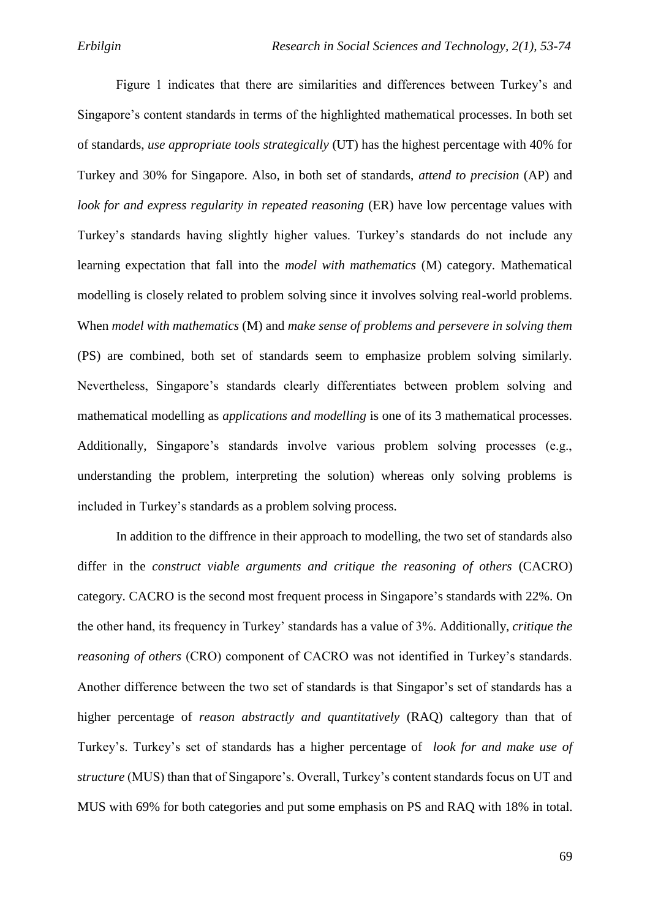Figure 1 indicates that there are similarities and differences between Turkey's and Singapore's content standards in terms of the highlighted mathematical processes. In both set of standards, *use appropriate tools strategically* (UT) has the highest percentage with 40% for Turkey and 30% for Singapore. Also, in both set of standards, *attend to precision* (AP) and *look for and express regularity in repeated reasoning* (ER) have low percentage values with Turkey's standards having slightly higher values. Turkey's standards do not include any learning expectation that fall into the *model with mathematics* (M) category. Mathematical modelling is closely related to problem solving since it involves solving real-world problems. When *model with mathematics* (M) and *make sense of problems and persevere in solving them* (PS) are combined, both set of standards seem to emphasize problem solving similarly. Nevertheless, Singapore's standards clearly differentiates between problem solving and mathematical modelling as *applications and modelling* is one of its 3 mathematical processes. Additionally, Singapore's standards involve various problem solving processes (e.g., understanding the problem, interpreting the solution) whereas only solving problems is included in Turkey's standards as a problem solving process.

In addition to the diffrence in their approach to modelling, the two set of standards also differ in the *construct viable arguments and critique the reasoning of others* (CACRO) category. CACRO is the second most frequent process in Singapore's standards with 22%. On the other hand, its frequency in Turkey' standards has a value of 3%. Additionally, *critique the reasoning of others* (CRO) component of CACRO was not identified in Turkey's standards. Another difference between the two set of standards is that Singapor's set of standards has a higher percentage of *reason abstractly and quantitatively* (RAQ) caltegory than that of Turkey's. Turkey's set of standards has a higher percentage of *look for and make use of structure* (MUS) than that of Singapore's. Overall, Turkey's content standards focus on UT and MUS with 69% for both categories and put some emphasis on PS and RAQ with 18% in total.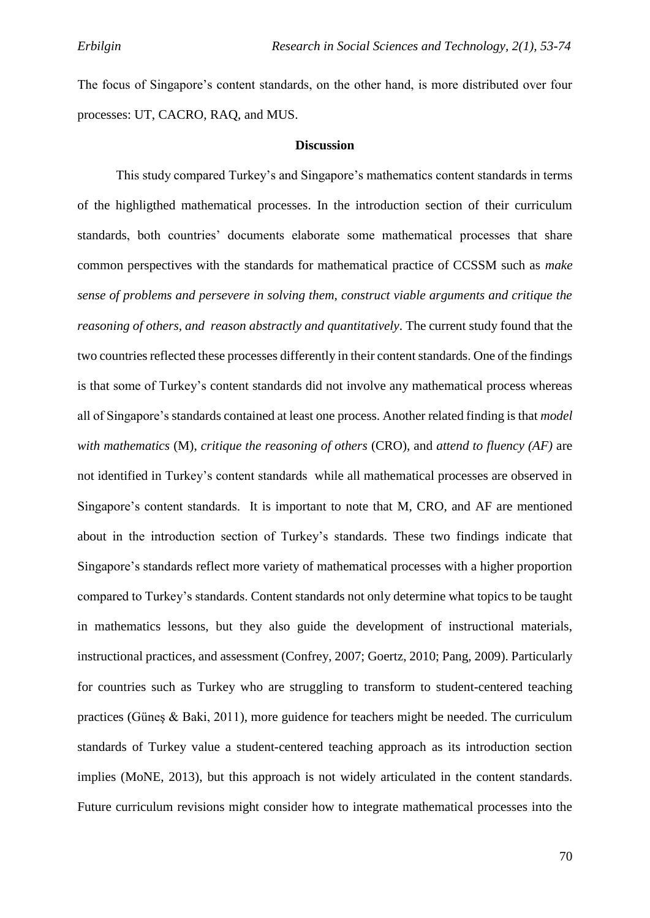The focus of Singapore's content standards, on the other hand, is more distributed over four processes: UT, CACRO, RAQ, and MUS.

#### **Discussion**

This study compared Turkey's and Singapore's mathematics content standards in terms of the highligthed mathematical processes. In the introduction section of their curriculum standards, both countries' documents elaborate some mathematical processes that share common perspectives with the standards for mathematical practice of CCSSM such as *make sense of problems and persevere in solving them, construct viable arguments and critique the reasoning of others, and reason abstractly and quantitatively*. The current study found that the two countries reflected these processes differently in their content standards. One of the findings is that some of Turkey's content standards did not involve any mathematical process whereas all of Singapore's standards contained at least one process. Another related finding is that *model with mathematics* (M), *critique the reasoning of others* (CRO), and *attend to fluency (AF)* are not identified in Turkey's content standards while all mathematical processes are observed in Singapore's content standards. It is important to note that M, CRO, and AF are mentioned about in the introduction section of Turkey's standards. These two findings indicate that Singapore's standards reflect more variety of mathematical processes with a higher proportion compared to Turkey's standards. Content standards not only determine what topics to be taught in mathematics lessons, but they also guide the development of instructional materials, instructional practices, and assessment (Confrey, 2007; Goertz, 2010; Pang, 2009). Particularly for countries such as Turkey who are struggling to transform to student-centered teaching practices (Güneş & Baki, 2011), more guidence for teachers might be needed. The curriculum standards of Turkey value a student-centered teaching approach as its introduction section implies (MoNE, 2013), but this approach is not widely articulated in the content standards. Future curriculum revisions might consider how to integrate mathematical processes into the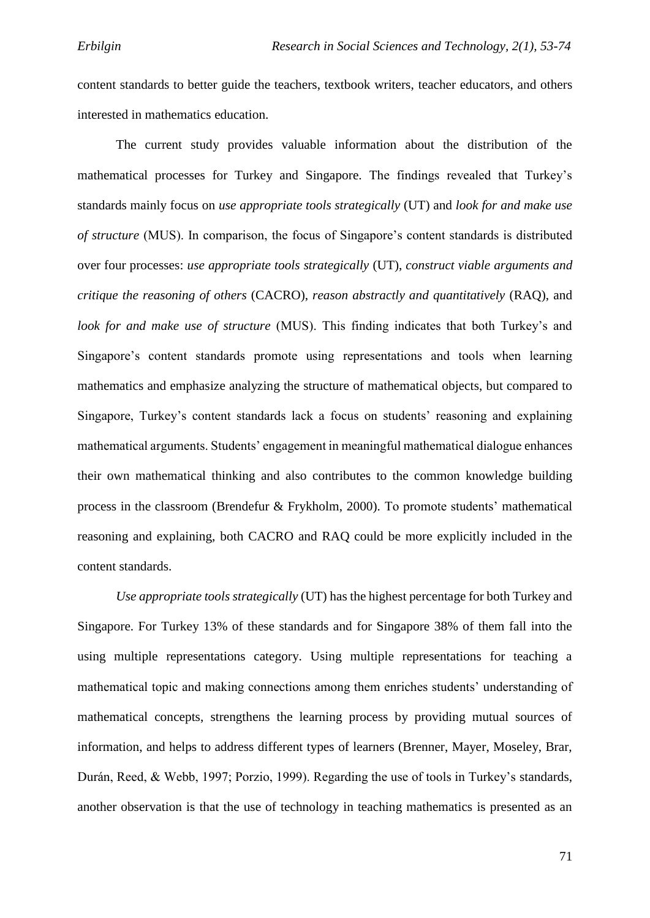content standards to better guide the teachers, textbook writers, teacher educators, and others interested in mathematics education.

The current study provides valuable information about the distribution of the mathematical processes for Turkey and Singapore. The findings revealed that Turkey's standards mainly focus on *use appropriate tools strategically* (UT) and *look for and make use of structure* (MUS). In comparison, the focus of Singapore's content standards is distributed over four processes: *use appropriate tools strategically* (UT), *construct viable arguments and critique the reasoning of others* (CACRO), *reason abstractly and quantitatively* (RAQ), and *look for and make use of structure* (MUS). This finding indicates that both Turkey's and Singapore's content standards promote using representations and tools when learning mathematics and emphasize analyzing the structure of mathematical objects, but compared to Singapore, Turkey's content standards lack a focus on students' reasoning and explaining mathematical arguments. Students' engagement in meaningful mathematical dialogue enhances their own mathematical thinking and also contributes to the common knowledge building process in the classroom (Brendefur & Frykholm, 2000). To promote students' mathematical reasoning and explaining, both CACRO and RAQ could be more explicitly included in the content standards.

*Use appropriate tools strategically* (UT) has the highest percentage for both Turkey and Singapore. For Turkey 13% of these standards and for Singapore 38% of them fall into the using multiple representations category. Using multiple representations for teaching a mathematical topic and making connections among them enriches students' understanding of mathematical concepts, strengthens the learning process by providing mutual sources of information, and helps to address different types of learners (Brenner, Mayer, Moseley, Brar, Durán, Reed, & Webb, 1997; Porzio, 1999). Regarding the use of tools in Turkey's standards, another observation is that the use of technology in teaching mathematics is presented as an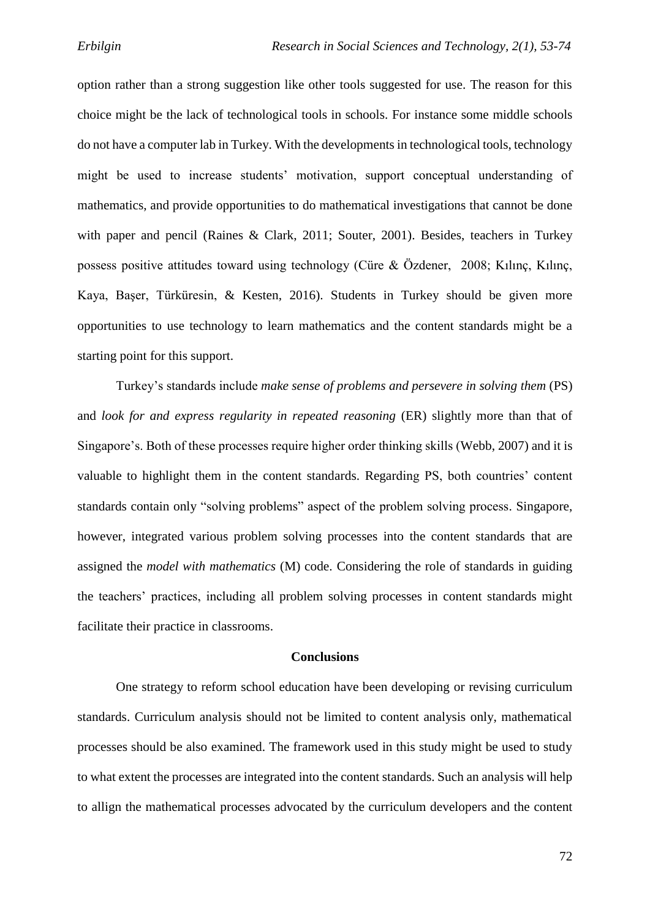option rather than a strong suggestion like other tools suggested for use. The reason for this choice might be the lack of technological tools in schools. For instance some middle schools do not have a computer lab in Turkey. With the developments in technological tools, technology might be used to increase students' motivation, support conceptual understanding of mathematics, and provide opportunities to do mathematical investigations that cannot be done with paper and pencil (Raines & Clark, 2011; Souter, 2001). Besides, teachers in Turkey possess positive attitudes toward using technology (Cüre & Özdener, 2008; Kılınç, Kılınç, Kaya, Başer, Türküresin, & Kesten, 2016). Students in Turkey should be given more opportunities to use technology to learn mathematics and the content standards might be a starting point for this support.

Turkey's standards include *make sense of problems and persevere in solving them* (PS) and *look for and express regularity in repeated reasoning* (ER) slightly more than that of Singapore's. Both of these processes require higher order thinking skills (Webb, 2007) and it is valuable to highlight them in the content standards. Regarding PS, both countries' content standards contain only "solving problems" aspect of the problem solving process. Singapore, however, integrated various problem solving processes into the content standards that are assigned the *model with mathematics* (M) code. Considering the role of standards in guiding the teachers' practices, including all problem solving processes in content standards might facilitate their practice in classrooms.

#### **Conclusions**

One strategy to reform school education have been developing or revising curriculum standards. Curriculum analysis should not be limited to content analysis only, mathematical processes should be also examined. The framework used in this study might be used to study to what extent the processes are integrated into the content standards. Such an analysis will help to allign the mathematical processes advocated by the curriculum developers and the content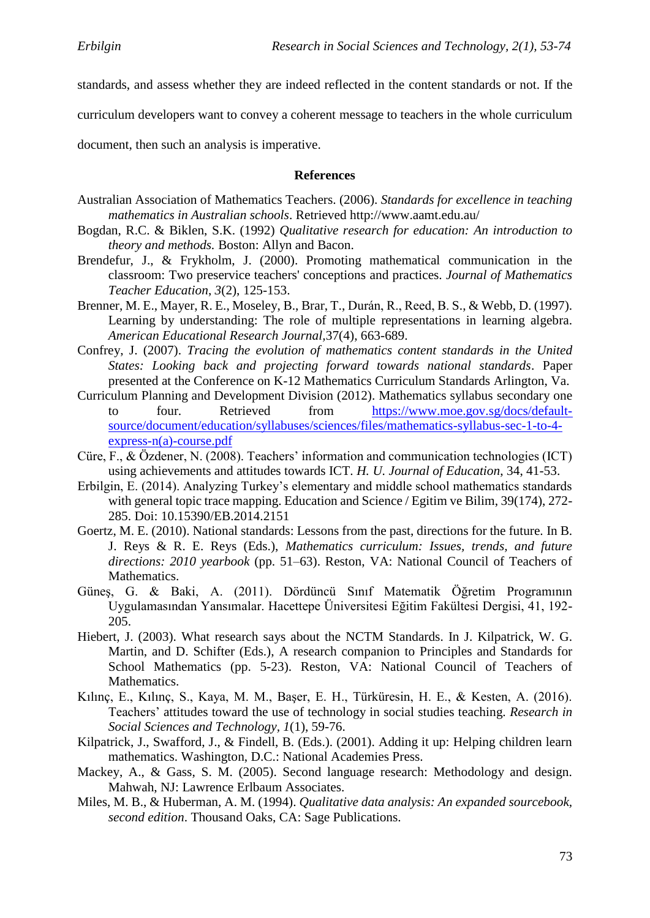standards, and assess whether they are indeed reflected in the content standards or not. If the

curriculum developers want to convey a coherent message to teachers in the whole curriculum

document, then such an analysis is imperative.

#### **References**

- Australian Association of Mathematics Teachers. (2006). *Standards for excellence in teaching mathematics in Australian schools*. Retrieved http://www.aamt.edu.au/
- Bogdan, R.C. & Biklen, S.K. (1992) *Qualitative research for education: An introduction to theory and methods.* Boston: Allyn and Bacon.
- Brendefur, J., & Frykholm, J. (2000). Promoting mathematical communication in the classroom: Two preservice teachers' conceptions and practices. *Journal of Mathematics Teacher Education*, *3*(2), 125-153.
- Brenner, M. E., Mayer, R. E., Moseley, B., Brar, T., Durán, R., Reed, B. S., & Webb, D. (1997). Learning by understanding: The role of multiple representations in learning algebra. *American Educational Research Journal,*37(4), 663-689.
- Confrey, J. (2007). *Tracing the evolution of mathematics content standards in the United States: Looking back and projecting forward towards national standards*. Paper presented at the Conference on K-12 Mathematics Curriculum Standards Arlington, Va.
- Curriculum Planning and Development Division (2012). Mathematics syllabus secondary one to four. Retrieved from [https://www.moe.gov.sg/docs/default](https://www.moe.gov.sg/docs/default-source/document/education/syllabuses/sciences/files/mathematics-syllabus-sec-1-to-4-express-n(a)-course.pdf)[source/document/education/syllabuses/sciences/files/mathematics-syllabus-sec-1-to-4](https://www.moe.gov.sg/docs/default-source/document/education/syllabuses/sciences/files/mathematics-syllabus-sec-1-to-4-express-n(a)-course.pdf) [express-n\(a\)-course.pdf](https://www.moe.gov.sg/docs/default-source/document/education/syllabuses/sciences/files/mathematics-syllabus-sec-1-to-4-express-n(a)-course.pdf)
- Cüre, F., & Özdener, N. (2008). Teachers' information and communication technologies (ICT) using achievements and attitudes towards ICT. *H. U. Journal of Education*, 34, 41-53.
- Erbilgin, E. (2014). Analyzing Turkey's elementary and middle school mathematics standards with general topic trace mapping. Education and Science / Egitim ve Bilim, 39(174), 272-285. Doi: 10.15390/EB.2014.2151
- Goertz, M. E. (2010). National standards: Lessons from the past, directions for the future. In B. J. Reys & R. E. Reys (Eds.), *Mathematics curriculum: Issues, trends, and future directions: 2010 yearbook* (pp. 51–63). Reston, VA: National Council of Teachers of Mathematics.
- Güneş, G. & Baki, A. (2011). Dördüncü Sınıf Matematik Öğretim Programının Uygulamasından Yansımalar. Hacettepe Üniversitesi Eğitim Fakültesi Dergisi, 41, 192- 205.
- Hiebert, J. (2003). What research says about the NCTM Standards. In J. Kilpatrick, W. G. Martin, and D. Schifter (Eds.), A research companion to Principles and Standards for School Mathematics (pp. 5-23). Reston, VA: National Council of Teachers of Mathematics.
- Kılınç, E., Kılınç, S., Kaya, M. M., Başer, E. H., Türküresin, H. E., & Kesten, A. (2016). Teachers' attitudes toward the use of technology in social studies teaching. *Research in Social Sciences and Technology, 1*(1), 59-76.
- Kilpatrick, J., Swafford, J., & Findell, B. (Eds.). (2001). Adding it up: Helping children learn mathematics. Washington, D.C.: National Academies Press.
- Mackey, A., & Gass, S. M. (2005). Second language research: Methodology and design. Mahwah, NJ: Lawrence Erlbaum Associates.
- Miles, M. B., & Huberman, A. M. (1994). *Qualitative data analysis: An expanded sourcebook, second edition*. Thousand Oaks, CA: Sage Publications.